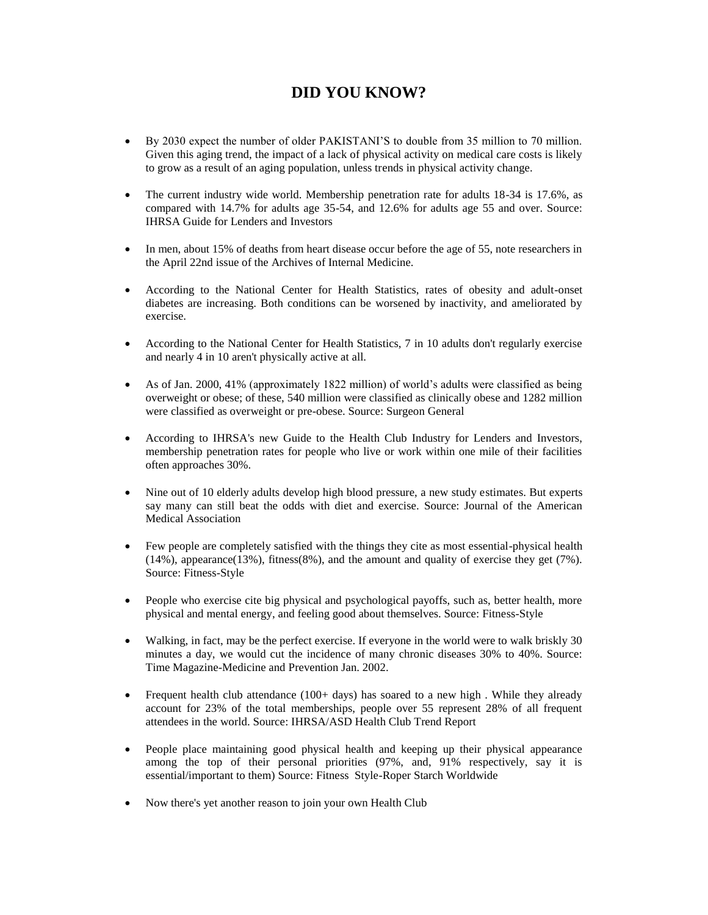## **DID YOU KNOW?**

- By 2030 expect the number of older PAKISTANI'S to double from 35 million to 70 million. Given this aging trend, the impact of a lack of physical activity on medical care costs is likely to grow as a result of an aging population, unless trends in physical activity change.
- The current industry wide world. Membership penetration rate for adults 18-34 is 17.6%, as compared with 14.7% for adults age 35-54, and 12.6% for adults age 55 and over. Source: IHRSA Guide for Lenders and Investors
- In men, about 15% of deaths from heart disease occur before the age of 55, note researchers in the April 22nd issue of the Archives of Internal Medicine.
- According to the National Center for Health Statistics, rates of obesity and adult-onset diabetes are increasing. Both conditions can be worsened by inactivity, and ameliorated by exercise.
- According to the National Center for Health Statistics, 7 in 10 adults don't regularly exercise and nearly 4 in 10 aren't physically active at all.
- As of Jan. 2000, 41% (approximately 1822 million) of world's adults were classified as being overweight or obese; of these, 540 million were classified as clinically obese and 1282 million were classified as overweight or pre-obese. Source: Surgeon General
- According to IHRSA's new Guide to the Health Club Industry for Lenders and Investors, membership penetration rates for people who live or work within one mile of their facilities often approaches 30%.
- Nine out of 10 elderly adults develop high blood pressure, a new study estimates. But experts say many can still beat the odds with diet and exercise. Source: Journal of the American Medical Association
- Few people are completely satisfied with the things they cite as most essential-physical health (14%), appearance(13%), fitness(8%), and the amount and quality of exercise they get (7%). Source: Fitness-Style
- People who exercise cite big physical and psychological payoffs, such as, better health, more physical and mental energy, and feeling good about themselves. Source: Fitness-Style
- Walking, in fact, may be the perfect exercise. If everyone in the world were to walk briskly 30 minutes a day, we would cut the incidence of many chronic diseases 30% to 40%. Source: Time Magazine-Medicine and Prevention Jan. 2002.
- Frequent health club attendance (100+ days) has soared to a new high. While they already account for 23% of the total memberships, people over 55 represent 28% of all frequent attendees in the world. Source: IHRSA/ASD Health Club Trend Report
- People place maintaining good physical health and keeping up their physical appearance among the top of their personal priorities (97%, and, 91% respectively, say it is essential/important to them) Source: Fitness Style-Roper Starch Worldwide
- Now there's yet another reason to join your own Health Club